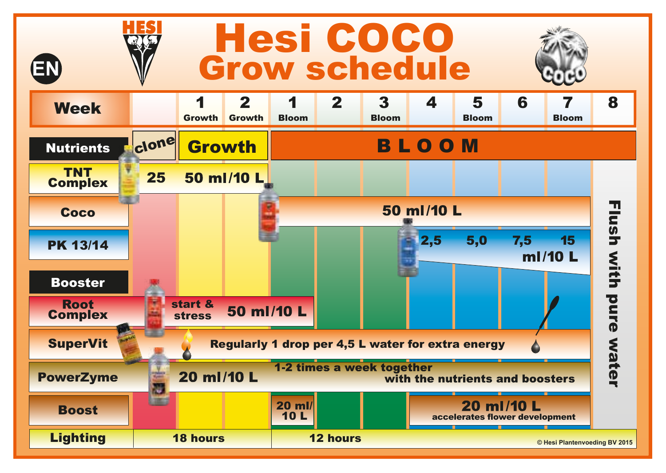